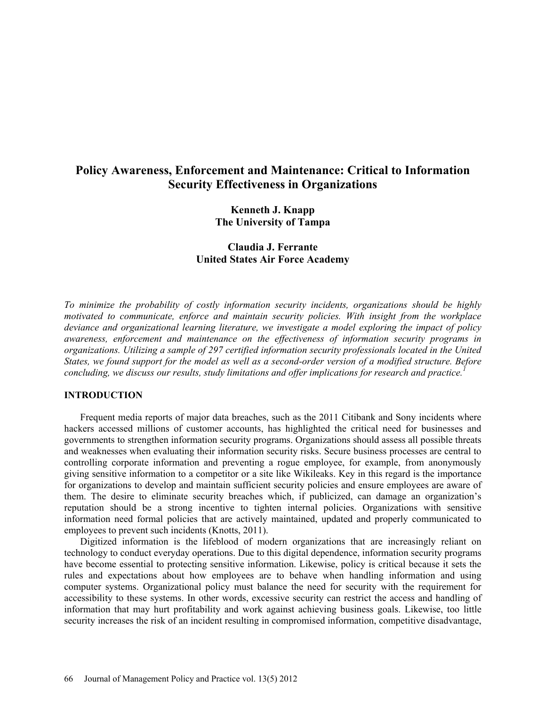# **Policy Awareness, Enforcement and Maintenance: Critical to Information Security Effectiveness in Organizations**

# **Kenneth J. Knapp The University of Tampa**

# **Claudia J. Ferrante United States Air Force Academy**

*To minimize the probability of costly information security incidents, organizations should be highly motivated to communicate, enforce and maintain security policies. With insight from the workplace deviance and organizational learning literature, we investigate a model exploring the impact of policy awareness, enforcement and maintenance on the effectiveness of information security programs in organizations. Utilizing a sample of 297 certified information security professionals located in the United States, we found support for the model as well as a second-order version of a modified structure. Before concluding, we discuss our results, study limitations and offer implications for research and practice.<sup>1</sup>*

### **INTRODUCTION**

Frequent media reports of major data breaches, such as the 2011 Citibank and Sony incidents where hackers accessed millions of customer accounts, has highlighted the critical need for businesses and governments to strengthen information security programs. Organizations should assess all possible threats and weaknesses when evaluating their information security risks. Secure business processes are central to controlling corporate information and preventing a rogue employee, for example, from anonymously giving sensitive information to a competitor or a site like Wikileaks. Key in this regard is the importance for organizations to develop and maintain sufficient security policies and ensure employees are aware of them. The desire to eliminate security breaches which, if publicized, can damage an organization's reputation should be a strong incentive to tighten internal policies. Organizations with sensitive information need formal policies that are actively maintained, updated and properly communicated to employees to prevent such incidents (Knotts, 2011).

Digitized information is the lifeblood of modern organizations that are increasingly reliant on technology to conduct everyday operations. Due to this digital dependence, information security programs have become essential to protecting sensitive information. Likewise, policy is critical because it sets the rules and expectations about how employees are to behave when handling information and using computer systems. Organizational policy must balance the need for security with the requirement for accessibility to these systems. In other words, excessive security can restrict the access and handling of information that may hurt profitability and work against achieving business goals. Likewise, too little security increases the risk of an incident resulting in compromised information, competitive disadvantage,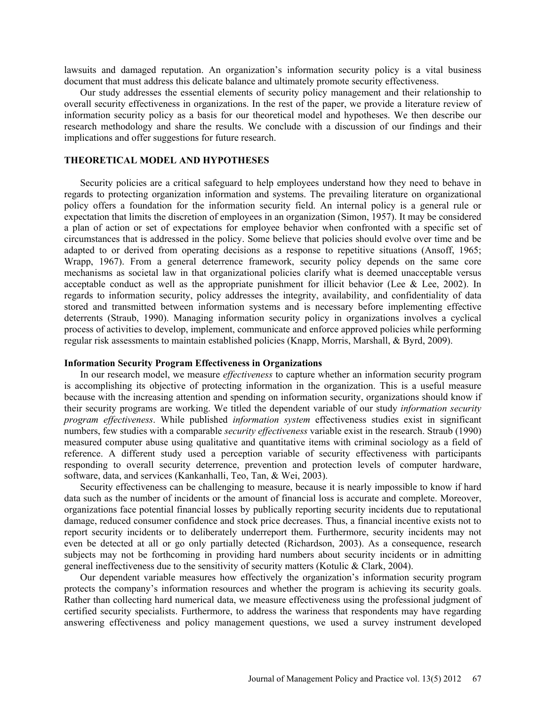lawsuits and damaged reputation. An organization's information security policy is a vital business document that must address this delicate balance and ultimately promote security effectiveness.

Our study addresses the essential elements of security policy management and their relationship to overall security effectiveness in organizations. In the rest of the paper, we provide a literature review of information security policy as a basis for our theoretical model and hypotheses. We then describe our research methodology and share the results. We conclude with a discussion of our findings and their implications and offer suggestions for future research.

#### **THEORETICAL MODEL AND HYPOTHESES**

Security policies are a critical safeguard to help employees understand how they need to behave in regards to protecting organization information and systems. The prevailing literature on organizational policy offers a foundation for the information security field. An internal policy is a general rule or expectation that limits the discretion of employees in an organization (Simon, 1957). It may be considered a plan of action or set of expectations for employee behavior when confronted with a specific set of circumstances that is addressed in the policy. Some believe that policies should evolve over time and be adapted to or derived from operating decisions as a response to repetitive situations (Ansoff, 1965; Wrapp, 1967). From a general deterrence framework, security policy depends on the same core mechanisms as societal law in that organizational policies clarify what is deemed unacceptable versus acceptable conduct as well as the appropriate punishment for illicit behavior (Lee  $\&$  Lee, 2002). In regards to information security, policy addresses the integrity, availability, and confidentiality of data stored and transmitted between information systems and is necessary before implementing effective deterrents (Straub, 1990). Managing information security policy in organizations involves a cyclical process of activities to develop, implement, communicate and enforce approved policies while performing regular risk assessments to maintain established policies (Knapp, Morris, Marshall, & Byrd, 2009).

## **Information Security Program Effectiveness in Organizations**

In our research model, we measure *effectiveness* to capture whether an information security program is accomplishing its objective of protecting information in the organization. This is a useful measure because with the increasing attention and spending on information security, organizations should know if their security programs are working. We titled the dependent variable of our study *information security program effectiveness*. While published *information system* effectiveness studies exist in significant numbers, few studies with a comparable *security effectiveness* variable exist in the research. Straub (1990) measured computer abuse using qualitative and quantitative items with criminal sociology as a field of reference. A different study used a perception variable of security effectiveness with participants responding to overall security deterrence, prevention and protection levels of computer hardware, software, data, and services (Kankanhalli, Teo, Tan, & Wei, 2003).

Security effectiveness can be challenging to measure, because it is nearly impossible to know if hard data such as the number of incidents or the amount of financial loss is accurate and complete. Moreover, organizations face potential financial losses by publically reporting security incidents due to reputational damage, reduced consumer confidence and stock price decreases. Thus, a financial incentive exists not to report security incidents or to deliberately underreport them. Furthermore, security incidents may not even be detected at all or go only partially detected (Richardson, 2003). As a consequence, research subjects may not be forthcoming in providing hard numbers about security incidents or in admitting general ineffectiveness due to the sensitivity of security matters (Kotulic & Clark, 2004).

Our dependent variable measures how effectively the organization's information security program protects the company's information resources and whether the program is achieving its security goals. Rather than collecting hard numerical data, we measure effectiveness using the professional judgment of certified security specialists. Furthermore, to address the wariness that respondents may have regarding answering effectiveness and policy management questions, we used a survey instrument developed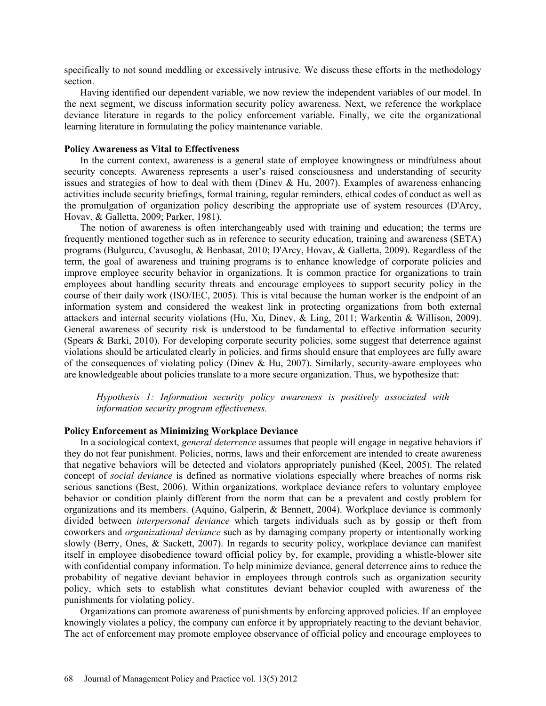specifically to not sound meddling or excessively intrusive. We discuss these efforts in the methodology section.

Having identified our dependent variable, we now review the independent variables of our model. In the next segment, we discuss information security policy awareness. Next, we reference the workplace deviance literature in regards to the policy enforcement variable. Finally, we cite the organizational learning literature in formulating the policy maintenance variable.

#### **Policy Awareness as Vital to Effectiveness**

In the current context, awareness is a general state of employee knowingness or mindfulness about security concepts. Awareness represents a user's raised consciousness and understanding of security issues and strategies of how to deal with them (Diney & Hu, 2007). Examples of awareness enhancing activities include security briefings, formal training, regular reminders, ethical codes of conduct as well as the promulgation of organization policy describing the appropriate use of system resources (D'Arcy, Hovav, & Galletta, 2009; Parker, 1981).

The notion of awareness is often interchangeably used with training and education; the terms are frequently mentioned together such as in reference to security education, training and awareness (SETA) programs (Bulgurcu, Cavusoglu, & Benbasat, 2010; D'Arcy, Hovav, & Galletta, 2009). Regardless of the term, the goal of awareness and training programs is to enhance knowledge of corporate policies and improve employee security behavior in organizations. It is common practice for organizations to train employees about handling security threats and encourage employees to support security policy in the course of their daily work (ISO/IEC, 2005). This is vital because the human worker is the endpoint of an information system and considered the weakest link in protecting organizations from both external attackers and internal security violations (Hu, Xu, Dinev, & Ling, 2011; Warkentin & Willison, 2009). General awareness of security risk is understood to be fundamental to effective information security (Spears & Barki, 2010). For developing corporate security policies, some suggest that deterrence against violations should be articulated clearly in policies, and firms should ensure that employees are fully aware of the consequences of violating policy (Diney & Hu, 2007). Similarly, security-aware employees who are knowledgeable about policies translate to a more secure organization. Thus, we hypothesize that:

*Hypothesis 1: Information security policy awareness is positively associated with information security program effectiveness.* 

#### **Policy Enforcement as Minimizing Workplace Deviance**

In a sociological context, *general deterrence* assumes that people will engage in negative behaviors if they do not fear punishment. Policies, norms, laws and their enforcement are intended to create awareness that negative behaviors will be detected and violators appropriately punished (Keel, 2005). The related concept of *social deviance* is defined as normative violations especially where breaches of norms risk serious sanctions (Best, 2006). Within organizations, workplace deviance refers to voluntary employee behavior or condition plainly different from the norm that can be a prevalent and costly problem for organizations and its members. (Aquino, Galperin, & Bennett, 2004). Workplace deviance is commonly divided between *interpersonal deviance* which targets individuals such as by gossip or theft from coworkers and *organizational deviance* such as by damaging company property or intentionally working slowly (Berry, Ones, & Sackett, 2007). In regards to security policy, workplace deviance can manifest itself in employee disobedience toward official policy by, for example, providing a whistle-blower site with confidential company information. To help minimize deviance, general deterrence aims to reduce the probability of negative deviant behavior in employees through controls such as organization security policy, which sets to establish what constitutes deviant behavior coupled with awareness of the punishments for violating policy.

Organizations can promote awareness of punishments by enforcing approved policies. If an employee knowingly violates a policy, the company can enforce it by appropriately reacting to the deviant behavior. The act of enforcement may promote employee observance of official policy and encourage employees to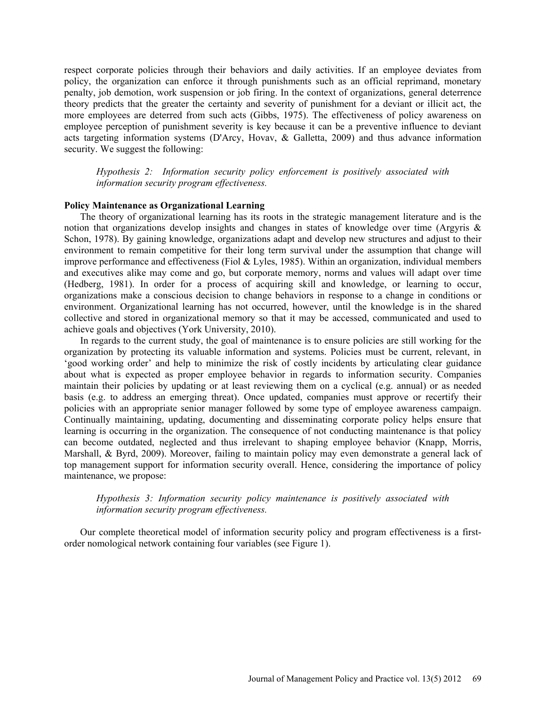respect corporate policies through their behaviors and daily activities. If an employee deviates from policy, the organization can enforce it through punishments such as an official reprimand, monetary penalty, job demotion, work suspension or job firing. In the context of organizations, general deterrence theory predicts that the greater the certainty and severity of punishment for a deviant or illicit act, the more employees are deterred from such acts (Gibbs, 1975). The effectiveness of policy awareness on employee perception of punishment severity is key because it can be a preventive influence to deviant acts targeting information systems (D'Arcy, Hovav, & Galletta, 2009) and thus advance information security. We suggest the following:

*Hypothesis 2: Information security policy enforcement is positively associated with information security program effectiveness.* 

# **Policy Maintenance as Organizational Learning**

The theory of organizational learning has its roots in the strategic management literature and is the notion that organizations develop insights and changes in states of knowledge over time (Argyris  $\&$ Schon, 1978). By gaining knowledge, organizations adapt and develop new structures and adjust to their environment to remain competitive for their long term survival under the assumption that change will improve performance and effectiveness (Fiol & Lyles, 1985). Within an organization, individual members and executives alike may come and go, but corporate memory, norms and values will adapt over time (Hedberg, 1981). In order for a process of acquiring skill and knowledge, or learning to occur, organizations make a conscious decision to change behaviors in response to a change in conditions or environment. Organizational learning has not occurred, however, until the knowledge is in the shared collective and stored in organizational memory so that it may be accessed, communicated and used to achieve goals and objectives (York University, 2010).

In regards to the current study, the goal of maintenance is to ensure policies are still working for the organization by protecting its valuable information and systems. Policies must be current, relevant, in 'good working order' and help to minimize the risk of costly incidents by articulating clear guidance about what is expected as proper employee behavior in regards to information security. Companies maintain their policies by updating or at least reviewing them on a cyclical (e.g. annual) or as needed basis (e.g. to address an emerging threat). Once updated, companies must approve or recertify their policies with an appropriate senior manager followed by some type of employee awareness campaign. Continually maintaining, updating, documenting and disseminating corporate policy helps ensure that learning is occurring in the organization. The consequence of not conducting maintenance is that policy can become outdated, neglected and thus irrelevant to shaping employee behavior (Knapp, Morris, Marshall, & Byrd, 2009). Moreover, failing to maintain policy may even demonstrate a general lack of top management support for information security overall. Hence, considering the importance of policy maintenance, we propose:

# *Hypothesis 3: Information security policy maintenance is positively associated with information security program effectiveness.*

Our complete theoretical model of information security policy and program effectiveness is a firstorder nomological network containing four variables (see Figure 1).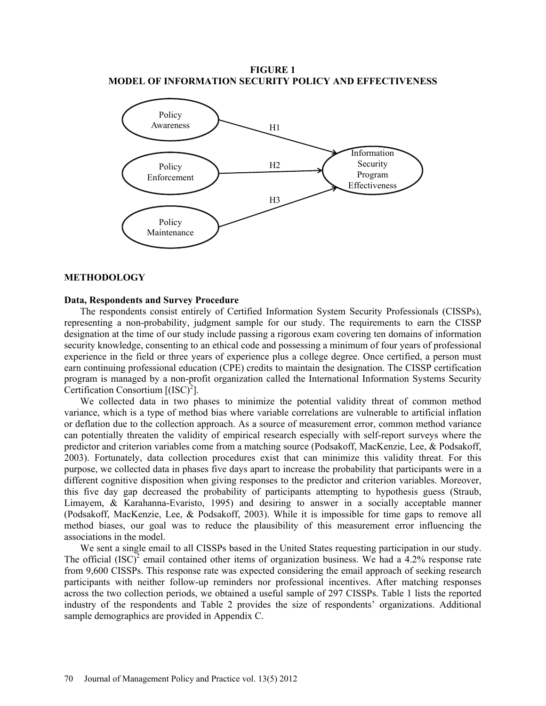**FIGURE 1 MODEL OF INFORMATION SECURITY POLICY AND EFFECTIVENESS**



#### **METHODOLOGY**

#### **Data, Respondents and Survey Procedure**

The respondents consist entirely of Certified Information System Security Professionals (CISSPs), representing a non-probability, judgment sample for our study. The requirements to earn the CISSP designation at the time of our study include passing a rigorous exam covering ten domains of information security knowledge, consenting to an ethical code and possessing a minimum of four years of professional experience in the field or three years of experience plus a college degree. Once certified, a person must earn continuing professional education (CPE) credits to maintain the designation. The CISSP certification program is managed by a non-profit organization called the International Information Systems Security Certification Consortium  $[(ISC)^2]$ .

We collected data in two phases to minimize the potential validity threat of common method variance, which is a type of method bias where variable correlations are vulnerable to artificial inflation or deflation due to the collection approach. As a source of measurement error, common method variance can potentially threaten the validity of empirical research especially with self-report surveys where the predictor and criterion variables come from a matching source (Podsakoff, MacKenzie, Lee, & Podsakoff, 2003). Fortunately, data collection procedures exist that can minimize this validity threat. For this purpose, we collected data in phases five days apart to increase the probability that participants were in a different cognitive disposition when giving responses to the predictor and criterion variables. Moreover, this five day gap decreased the probability of participants attempting to hypothesis guess (Straub, Limayem, & Karahanna-Evaristo, 1995) and desiring to answer in a socially acceptable manner (Podsakoff, MacKenzie, Lee, & Podsakoff, 2003). While it is impossible for time gaps to remove all method biases, our goal was to reduce the plausibility of this measurement error influencing the associations in the model.

We sent a single email to all CISSPs based in the United States requesting participation in our study. The official  $(ISC)^2$  email contained other items of organization business. We had a 4.2% response rate from 9,600 CISSPs. This response rate was expected considering the email approach of seeking research participants with neither follow-up reminders nor professional incentives. After matching responses across the two collection periods, we obtained a useful sample of 297 CISSPs. Table 1 lists the reported industry of the respondents and Table 2 provides the size of respondents' organizations. Additional sample demographics are provided in Appendix C.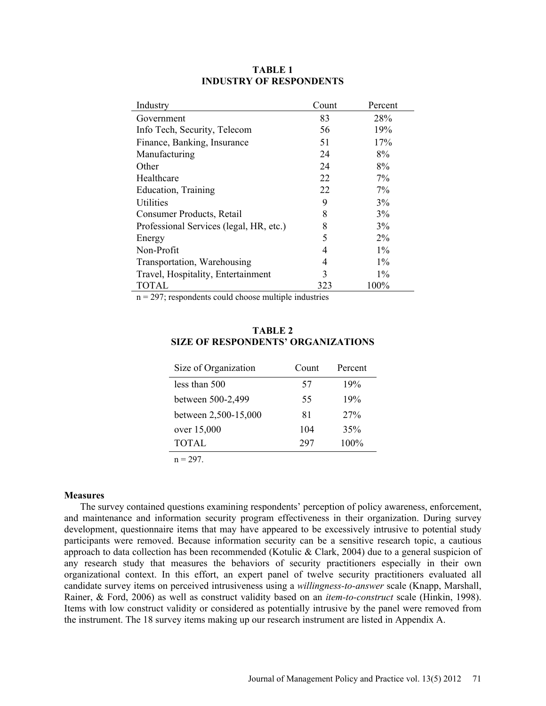| Industry                                | Count | Percent |
|-----------------------------------------|-------|---------|
| Government                              | 83    | 28%     |
| Info Tech, Security, Telecom            | 56    | 19%     |
| Finance, Banking, Insurance             | 51    | 17%     |
| Manufacturing                           | 24    | 8%      |
| Other                                   | 24    | 8%      |
| Healthcare                              | 22    | 7%      |
| Education, Training                     | 22    | $7\%$   |
| Utilities                               | 9     | 3%      |
| Consumer Products, Retail               | 8     | 3%      |
| Professional Services (legal, HR, etc.) | 8     | 3%      |
| Energy                                  | 5     | $2\%$   |
| Non-Profit                              | 4     | $1\%$   |
| Transportation, Warehousing             | 4     | $1\%$   |
| Travel, Hospitality, Entertainment      | 3     | $1\%$   |
| TOTAL                                   | 323   | 100%    |

## **TABLE 1 INDUSTRY OF RESPONDENTS**

 $n = 297$ ; respondents could choose multiple industries

# **TABLE 2 SIZE OF RESPONDENTS' ORGANIZATIONS**

| Size of Organization | Count | Percent |
|----------------------|-------|---------|
| less than 500        | 57    | 19%     |
| between 500-2,499    | 55    | 19%     |
| between 2,500-15,000 | 81    | 27%     |
| over 15,000          | 104   | 35%     |
| <b>TOTAL</b>         | 297   | 100%    |
| $n = 297$            |       |         |

# **Measures**

The survey contained questions examining respondents' perception of policy awareness, enforcement, and maintenance and information security program effectiveness in their organization. During survey development, questionnaire items that may have appeared to be excessively intrusive to potential study participants were removed. Because information security can be a sensitive research topic, a cautious approach to data collection has been recommended (Kotulic & Clark, 2004) due to a general suspicion of any research study that measures the behaviors of security practitioners especially in their own organizational context. In this effort, an expert panel of twelve security practitioners evaluated all candidate survey items on perceived intrusiveness using a *willingness-to-answer* scale (Knapp, Marshall, Rainer, & Ford, 2006) as well as construct validity based on an *item-to-construct* scale (Hinkin, 1998). Items with low construct validity or considered as potentially intrusive by the panel were removed from the instrument. The 18 survey items making up our research instrument are listed in Appendix A.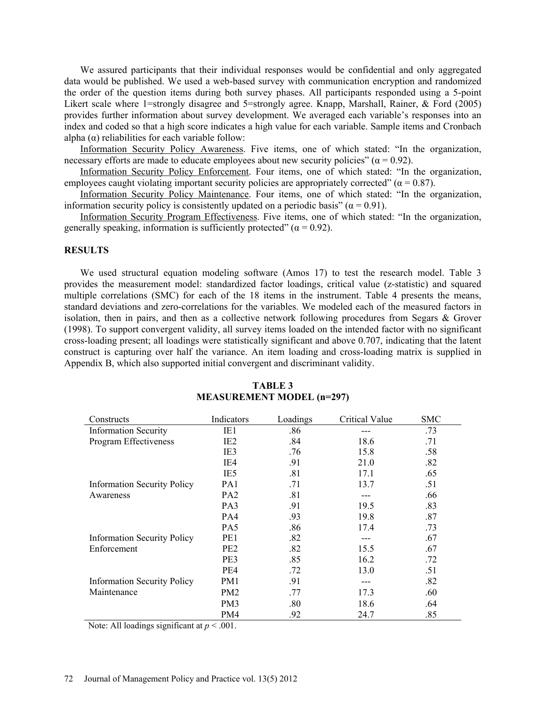We assured participants that their individual responses would be confidential and only aggregated data would be published. We used a web-based survey with communication encryption and randomized the order of the question items during both survey phases. All participants responded using a 5-point Likert scale where 1=strongly disagree and 5=strongly agree. Knapp, Marshall, Rainer, & Ford (2005) provides further information about survey development. We averaged each variable's responses into an index and coded so that a high score indicates a high value for each variable. Sample items and Cronbach alpha  $(\alpha)$  reliabilities for each variable follow:

Information Security Policy Awareness. Five items, one of which stated: "In the organization, necessary efforts are made to educate employees about new security policies" ( $\alpha$  = 0.92).

Information Security Policy Enforcement. Four items, one of which stated: "In the organization, employees caught violating important security policies are appropriately corrected" ( $\alpha$  = 0.87).

Information Security Policy Maintenance. Four items, one of which stated: "In the organization, information security policy is consistently updated on a periodic basis" ( $\alpha$  = 0.91).

Information Security Program Effectiveness. Five items, one of which stated: "In the organization, generally speaking, information is sufficiently protected" ( $\alpha$  = 0.92).

## **RESULTS**

We used structural equation modeling software (Amos 17) to test the research model. Table 3 provides the measurement model: standardized factor loadings, critical value (z-statistic) and squared multiple correlations (SMC) for each of the 18 items in the instrument. Table 4 presents the means, standard deviations and zero-correlations for the variables. We modeled each of the measured factors in isolation, then in pairs, and then as a collective network following procedures from Segars & Grover (1998). To support convergent validity, all survey items loaded on the intended factor with no significant cross-loading present; all loadings were statistically significant and above 0.707, indicating that the latent construct is capturing over half the variance. An item loading and cross-loading matrix is supplied in Appendix B, which also supported initial convergent and discriminant validity.

| Constructs                         | Indicators      | Loadings | Critical Value | <b>SMC</b> |
|------------------------------------|-----------------|----------|----------------|------------|
| <b>Information Security</b>        | IE1             | .86      |                | .73        |
| Program Effectiveness              | IE <sub>2</sub> | .84      | 18.6           | .71        |
|                                    | IE3             | .76      | 15.8           | .58        |
|                                    | IE4             | .91      | 21.0           | .82        |
|                                    | IE <sub>5</sub> | .81      | 17.1           | .65        |
| <b>Information Security Policy</b> | PA1             | .71      | 13.7           | .51        |
| Awareness                          | PA <sub>2</sub> | .81      |                | .66        |
|                                    | PA3             | .91      | 19.5           | .83        |
|                                    | PA4             | .93      | 19.8           | .87        |
|                                    | PA5             | .86      | 17.4           | .73        |
| <b>Information Security Policy</b> | PE <sub>1</sub> | .82      |                | .67        |
| Enforcement                        | PE <sub>2</sub> | .82      | 15.5           | .67        |
|                                    | PE3             | .85      | 16.2           | .72        |
|                                    | PE4             | .72      | 13.0           | .51        |
| <b>Information Security Policy</b> | PM1             | .91      |                | .82        |
| Maintenance                        | PM <sub>2</sub> | .77      | 17.3           | .60        |
|                                    | PM <sub>3</sub> | .80      | 18.6           | .64        |
|                                    | PM4             | .92      | 24.7           | .85        |

#### **TABLE 3 MEASUREMENT MODEL (n=297)**

Note: All loadings significant at  $p < .001$ .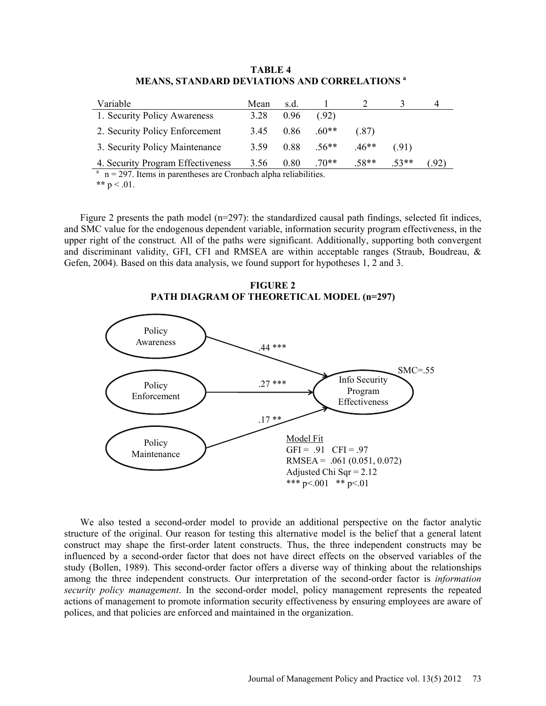| Variable                                                            | Mean | s.d. |         |         |        |     |
|---------------------------------------------------------------------|------|------|---------|---------|--------|-----|
| 1. Security Policy Awareness                                        | 3.28 | 0.96 | (.92)   |         |        |     |
| 2. Security Policy Enforcement                                      | 3.45 | 0.86 | $.60**$ | (.87)   |        |     |
| 3. Security Policy Maintenance                                      | 3.59 | 0.88 | $.56**$ | $.46**$ | (.91)  |     |
| 4. Security Program Effectiveness                                   | 3.56 | 0.80 | $.70**$ | $.58**$ | $53**$ | .92 |
| $^a$ n = 207. Items in parantheses are Crophagh alpha reliabilities |      |      |         |         |        |     |

**TABLE 4 MEANS, STANDARD DEVIATIONS AND CORRELATIONS <sup>a</sup>**

. Items in parentheses are Cronbach alpha reliabilities. \*\*  $p < .01$ .

Figure 2 presents the path model (n=297): the standardized causal path findings, selected fit indices, and SMC value for the endogenous dependent variable, information security program effectiveness, in the upper right of the construct*.* All of the paths were significant. Additionally, supporting both convergent and discriminant validity, GFI, CFI and RMSEA are within acceptable ranges (Straub, Boudreau, & Gefen, 2004). Based on this data analysis, we found support for hypotheses 1, 2 and 3.

# **FIGURE 2 PATH DIAGRAM OF THEORETICAL MODEL (n=297)**



We also tested a second-order model to provide an additional perspective on the factor analytic structure of the original. Our reason for testing this alternative model is the belief that a general latent construct may shape the first-order latent constructs. Thus, the three independent constructs may be influenced by a second-order factor that does not have direct effects on the observed variables of the study (Bollen, 1989). This second-order factor offers a diverse way of thinking about the relationships among the three independent constructs. Our interpretation of the second-order factor is *information security policy management*. In the second-order model, policy management represents the repeated actions of management to promote information security effectiveness by ensuring employees are aware of polices, and that policies are enforced and maintained in the organization.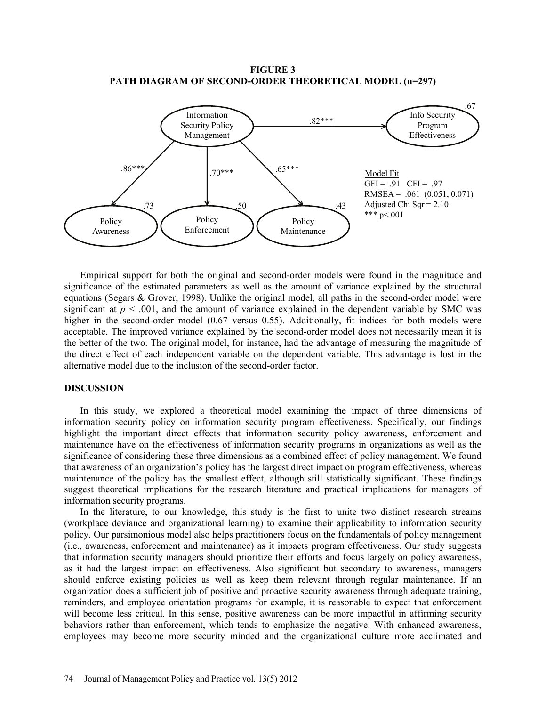**FIGURE 3 PATH DIAGRAM OF SECOND-ORDER THEORETICAL MODEL (n=297)** 



Empirical support for both the original and second-order models were found in the magnitude and significance of the estimated parameters as well as the amount of variance explained by the structural equations (Segars & Grover, 1998). Unlike the original model, all paths in the second-order model were significant at  $p < .001$ , and the amount of variance explained in the dependent variable by SMC was higher in the second-order model (0.67 versus 0.55). Additionally, fit indices for both models were acceptable. The improved variance explained by the second-order model does not necessarily mean it is the better of the two. The original model, for instance, had the advantage of measuring the magnitude of the direct effect of each independent variable on the dependent variable. This advantage is lost in the alternative model due to the inclusion of the second-order factor.

## **DISCUSSION**

In this study, we explored a theoretical model examining the impact of three dimensions of information security policy on information security program effectiveness. Specifically, our findings highlight the important direct effects that information security policy awareness, enforcement and maintenance have on the effectiveness of information security programs in organizations as well as the significance of considering these three dimensions as a combined effect of policy management. We found that awareness of an organization's policy has the largest direct impact on program effectiveness, whereas maintenance of the policy has the smallest effect, although still statistically significant. These findings suggest theoretical implications for the research literature and practical implications for managers of information security programs.

In the literature, to our knowledge, this study is the first to unite two distinct research streams (workplace deviance and organizational learning) to examine their applicability to information security policy. Our parsimonious model also helps practitioners focus on the fundamentals of policy management (i.e., awareness, enforcement and maintenance) as it impacts program effectiveness. Our study suggests that information security managers should prioritize their efforts and focus largely on policy awareness, as it had the largest impact on effectiveness. Also significant but secondary to awareness, managers should enforce existing policies as well as keep them relevant through regular maintenance. If an organization does a sufficient job of positive and proactive security awareness through adequate training, reminders, and employee orientation programs for example, it is reasonable to expect that enforcement will become less critical. In this sense, positive awareness can be more impactful in affirming security behaviors rather than enforcement, which tends to emphasize the negative. With enhanced awareness, employees may become more security minded and the organizational culture more acclimated and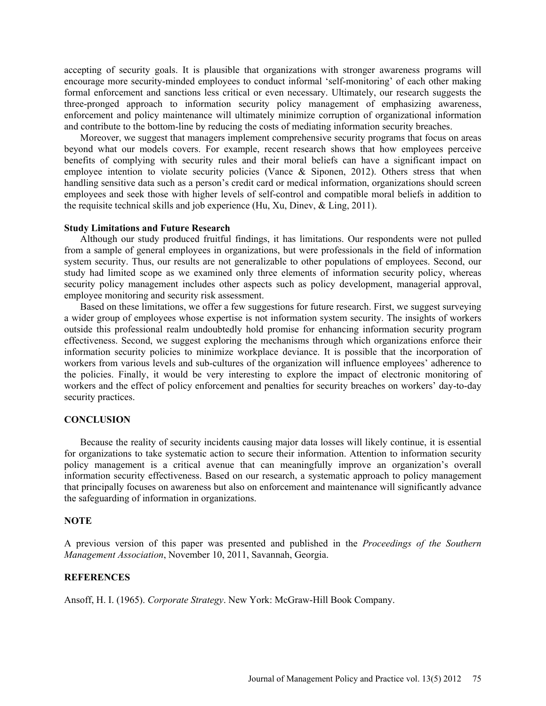accepting of security goals. It is plausible that organizations with stronger awareness programs will encourage more security-minded employees to conduct informal 'self-monitoring' of each other making formal enforcement and sanctions less critical or even necessary. Ultimately, our research suggests the three-pronged approach to information security policy management of emphasizing awareness, enforcement and policy maintenance will ultimately minimize corruption of organizational information and contribute to the bottom-line by reducing the costs of mediating information security breaches.

Moreover, we suggest that managers implement comprehensive security programs that focus on areas beyond what our models covers. For example, recent research shows that how employees perceive benefits of complying with security rules and their moral beliefs can have a significant impact on employee intention to violate security policies (Vance & Siponen, 2012). Others stress that when handling sensitive data such as a person's credit card or medical information, organizations should screen employees and seek those with higher levels of self-control and compatible moral beliefs in addition to the requisite technical skills and job experience (Hu, Xu, Dinev, & Ling, 2011).

#### **Study Limitations and Future Research**

Although our study produced fruitful findings, it has limitations. Our respondents were not pulled from a sample of general employees in organizations, but were professionals in the field of information system security. Thus, our results are not generalizable to other populations of employees. Second, our study had limited scope as we examined only three elements of information security policy, whereas security policy management includes other aspects such as policy development, managerial approval, employee monitoring and security risk assessment.

Based on these limitations, we offer a few suggestions for future research. First, we suggest surveying a wider group of employees whose expertise is not information system security. The insights of workers outside this professional realm undoubtedly hold promise for enhancing information security program effectiveness. Second, we suggest exploring the mechanisms through which organizations enforce their information security policies to minimize workplace deviance. It is possible that the incorporation of workers from various levels and sub-cultures of the organization will influence employees' adherence to the policies. Finally, it would be very interesting to explore the impact of electronic monitoring of workers and the effect of policy enforcement and penalties for security breaches on workers' day-to-day security practices.

#### **CONCLUSION**

Because the reality of security incidents causing major data losses will likely continue, it is essential for organizations to take systematic action to secure their information. Attention to information security policy management is a critical avenue that can meaningfully improve an organization's overall information security effectiveness. Based on our research, a systematic approach to policy management that principally focuses on awareness but also on enforcement and maintenance will significantly advance the safeguarding of information in organizations.

## **NOTE**

A previous version of this paper was presented and published in the *Proceedings of the Southern Management Association*, November 10, 2011, Savannah, Georgia.

### **REFERENCES**

Ansoff, H. I. (1965). *Corporate Strategy*. New York: McGraw-Hill Book Company.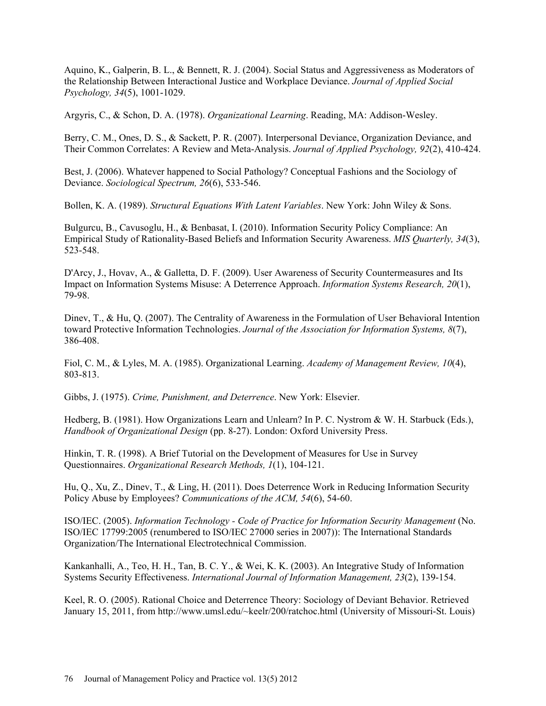Aquino, K., Galperin, B. L., & Bennett, R. J. (2004). Social Status and Aggressiveness as Moderators of the Relationship Between Interactional Justice and Workplace Deviance. *Journal of Applied Social Psychology, 34*(5), 1001-1029.

Argyris, C., & Schon, D. A. (1978). *Organizational Learning*. Reading, MA: Addison-Wesley.

Berry, C. M., Ones, D. S., & Sackett, P. R. (2007). Interpersonal Deviance, Organization Deviance, and Their Common Correlates: A Review and Meta-Analysis. *Journal of Applied Psychology, 92*(2), 410-424.

Best, J. (2006). Whatever happened to Social Pathology? Conceptual Fashions and the Sociology of Deviance. *Sociological Spectrum, 26*(6), 533-546.

Bollen, K. A. (1989). *Structural Equations With Latent Variables*. New York: John Wiley & Sons.

Bulgurcu, B., Cavusoglu, H., & Benbasat, I. (2010). Information Security Policy Compliance: An Empirical Study of Rationality-Based Beliefs and Information Security Awareness. *MIS Quarterly, 34*(3), 523-548.

D'Arcy, J., Hovav, A., & Galletta, D. F. (2009). User Awareness of Security Countermeasures and Its Impact on Information Systems Misuse: A Deterrence Approach. *Information Systems Research, 20*(1), 79-98.

Dinev, T., & Hu, Q. (2007). The Centrality of Awareness in the Formulation of User Behavioral Intention toward Protective Information Technologies. *Journal of the Association for Information Systems, 8*(7), 386-408.

Fiol, C. M., & Lyles, M. A. (1985). Organizational Learning. *Academy of Management Review, 10*(4), 803-813.

Gibbs, J. (1975). *Crime, Punishment, and Deterrence*. New York: Elsevier.

Hedberg, B. (1981). How Organizations Learn and Unlearn? In P. C. Nystrom & W. H. Starbuck (Eds.), *Handbook of Organizational Design* (pp. 8-27). London: Oxford University Press.

Hinkin, T. R. (1998). A Brief Tutorial on the Development of Measures for Use in Survey Questionnaires. *Organizational Research Methods, 1*(1), 104-121.

Hu, Q., Xu, Z., Dinev, T., & Ling, H. (2011). Does Deterrence Work in Reducing Information Security Policy Abuse by Employees? *Communications of the ACM, 54*(6), 54-60.

ISO/IEC. (2005). *Information Technology - Code of Practice for Information Security Management* (No. ISO/IEC 17799:2005 (renumbered to ISO/IEC 27000 series in 2007)): The International Standards Organization/The International Electrotechnical Commission.

Kankanhalli, A., Teo, H. H., Tan, B. C. Y., & Wei, K. K. (2003). An Integrative Study of Information Systems Security Effectiveness. *International Journal of Information Management, 23*(2), 139-154.

Keel, R. O. (2005). Rational Choice and Deterrence Theory: Sociology of Deviant Behavior. Retrieved January 15, 2011, from http://www.umsl.edu/~keelr/200/ratchoc.html (University of Missouri-St. Louis)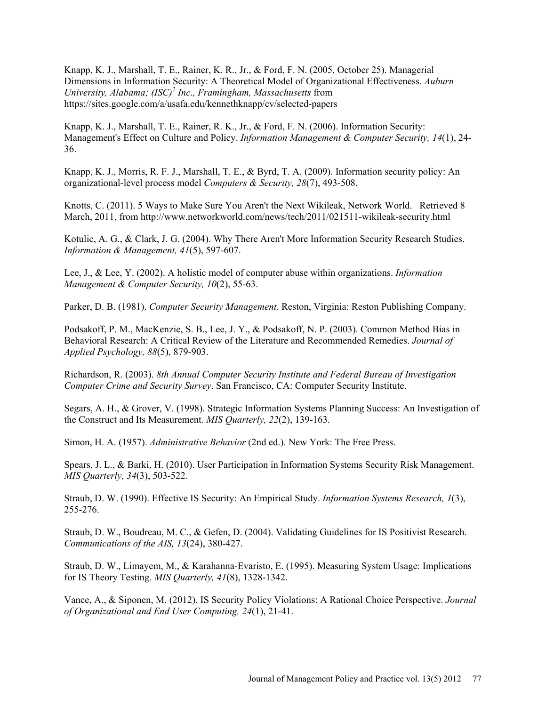Knapp, K. J., Marshall, T. E., Rainer, K. R., Jr., & Ford, F. N. (2005, October 25). Managerial Dimensions in Information Security: A Theoretical Model of Organizational Effectiveness. *Auburn*  University, Alabama; (ISC)<sup>2</sup> Inc., Framingham, Massachusetts from https://sites.google.com/a/usafa.edu/kennethknapp/cv/selected-papers

Knapp, K. J., Marshall, T. E., Rainer, R. K., Jr., & Ford, F. N. (2006). Information Security: Management's Effect on Culture and Policy. *Information Management & Computer Security, 14*(1), 24- 36.

Knapp, K. J., Morris, R. F. J., Marshall, T. E., & Byrd, T. A. (2009). Information security policy: An organizational-level process model *Computers & Security, 28*(7), 493-508.

Knotts, C. (2011). 5 Ways to Make Sure You Aren't the Next Wikileak, Network World. Retrieved 8 March, 2011, from http://www.networkworld.com/news/tech/2011/021511-wikileak-security.html

Kotulic, A. G., & Clark, J. G. (2004). Why There Aren't More Information Security Research Studies. *Information & Management, 41*(5), 597-607.

Lee, J., & Lee, Y. (2002). A holistic model of computer abuse within organizations. *Information Management & Computer Security, 10*(2), 55-63.

Parker, D. B. (1981). *Computer Security Management*. Reston, Virginia: Reston Publishing Company.

Podsakoff, P. M., MacKenzie, S. B., Lee, J. Y., & Podsakoff, N. P. (2003). Common Method Bias in Behavioral Research: A Critical Review of the Literature and Recommended Remedies. *Journal of Applied Psychology, 88*(5), 879-903.

Richardson, R. (2003). *8th Annual Computer Security Institute and Federal Bureau of Investigation Computer Crime and Security Survey*. San Francisco, CA: Computer Security Institute.

Segars, A. H., & Grover, V. (1998). Strategic Information Systems Planning Success: An Investigation of the Construct and Its Measurement. *MIS Quarterly, 22*(2), 139-163.

Simon, H. A. (1957). *Administrative Behavior* (2nd ed.). New York: The Free Press.

Spears, J. L., & Barki, H. (2010). User Participation in Information Systems Security Risk Management. *MIS Quarterly, 34*(3), 503-522.

Straub, D. W. (1990). Effective IS Security: An Empirical Study. *Information Systems Research, 1*(3), 255-276.

Straub, D. W., Boudreau, M. C., & Gefen, D. (2004). Validating Guidelines for IS Positivist Research. *Communications of the AIS, 13*(24), 380-427.

Straub, D. W., Limayem, M., & Karahanna-Evaristo, E. (1995). Measuring System Usage: Implications for IS Theory Testing. *MIS Quarterly, 41*(8), 1328-1342.

Vance, A., & Siponen, M. (2012). IS Security Policy Violations: A Rational Choice Perspective. *Journal of Organizational and End User Computing, 24*(1), 21-41.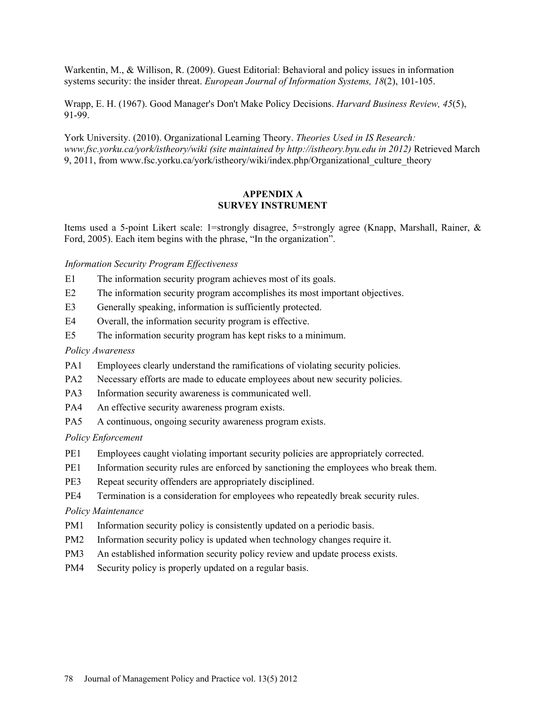Warkentin, M., & Willison, R. (2009). Guest Editorial: Behavioral and policy issues in information systems security: the insider threat. *European Journal of Information Systems, 18*(2), 101-105.

Wrapp, E. H. (1967). Good Manager's Don't Make Policy Decisions. *Harvard Business Review, 45*(5), 91-99.

York University. (2010). Organizational Learning Theory. *Theories Used in IS Research: www.fsc.yorku.ca/york/istheory/wiki (site maintained by http://istheory.byu.edu in 2012)* Retrieved March 9, 2011, from www.fsc.yorku.ca/york/istheory/wiki/index.php/Organizational\_culture\_theory

# **APPENDIX A SURVEY INSTRUMENT**

Items used a 5-point Likert scale: 1=strongly disagree, 5=strongly agree (Knapp, Marshall, Rainer, & Ford, 2005). Each item begins with the phrase, "In the organization".

## *Information Security Program Effectiveness*

- E1 The information security program achieves most of its goals.
- E2 The information security program accomplishes its most important objectives.
- E3 Generally speaking, information is sufficiently protected.
- E4 Overall, the information security program is effective.
- E5 The information security program has kept risks to a minimum.

## *Policy Awareness*

- PA1 Employees clearly understand the ramifications of violating security policies.
- PA2 Necessary efforts are made to educate employees about new security policies.
- PA3 Information security awareness is communicated well.
- PA4 An effective security awareness program exists.
- PA5 A continuous, ongoing security awareness program exists.

### *Policy Enforcement*

- PE1 Employees caught violating important security policies are appropriately corrected.
- PE1 Information security rules are enforced by sanctioning the employees who break them.
- PE3 Repeat security offenders are appropriately disciplined.
- PE4 Termination is a consideration for employees who repeatedly break security rules.

### *Policy Maintenance*

- PM1 Information security policy is consistently updated on a periodic basis.
- PM2 Information security policy is updated when technology changes require it.
- PM3 An established information security policy review and update process exists.
- PM4 Security policy is properly updated on a regular basis.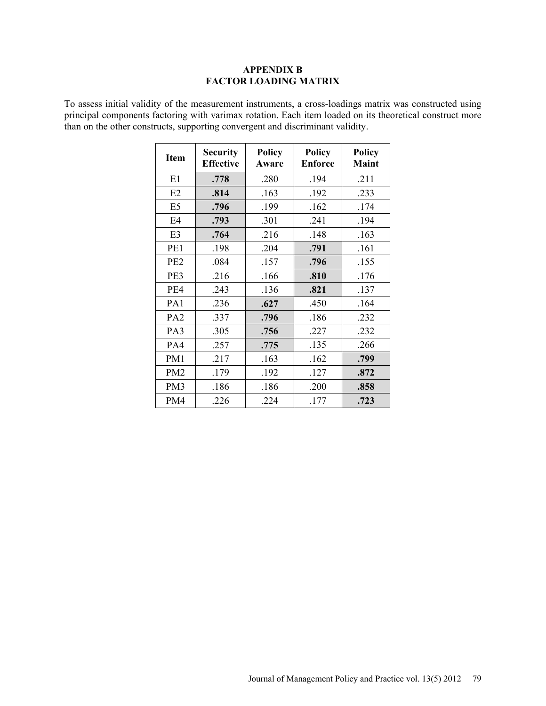# **APPENDIX B FACTOR LOADING MATRIX**

To assess initial validity of the measurement instruments, a cross-loadings matrix was constructed using principal components factoring with varimax rotation. Each item loaded on its theoretical construct more than on the other constructs, supporting convergent and discriminant validity.

| <b>Item</b>     | <b>Security</b><br><b>Effective</b> | <b>Policy</b><br>Aware | <b>Policy</b><br><b>Enforce</b> | <b>Policy</b><br><b>Maint</b> |
|-----------------|-------------------------------------|------------------------|---------------------------------|-------------------------------|
| E1              | .778                                | .280                   | .194                            | .211                          |
| E2              | .814                                | .163                   | .192                            | .233                          |
| E <sub>5</sub>  | .796                                | .199                   | .162                            | .174                          |
| E4              | .793                                | .301                   | .241                            | .194                          |
| E <sub>3</sub>  | .764                                | .216                   | .148                            | .163                          |
| PE1             | .198                                | .204                   | .791                            | .161                          |
| PE <sub>2</sub> | .084                                | .157                   | .796                            | .155                          |
| PE3             | .216                                | .166                   | .810                            | .176                          |
| PE4             | .243                                | .136                   | .821                            | .137                          |
| PA1             | .236                                | .627                   | .450                            | .164                          |
| PA <sub>2</sub> | .337                                | .796                   | .186                            | .232                          |
| PA3             | .305                                | .756                   | .227                            | .232                          |
| PA4             | .257                                | .775                   | .135                            | .266                          |
| PM1             | .217                                | .163                   | .162                            | .799                          |
| PM <sub>2</sub> | .179                                | .192                   | .127                            | .872                          |
| PM3             | .186                                | .186                   | .200                            | .858                          |
| PM4             | .226                                | .224                   | .177                            | .723                          |